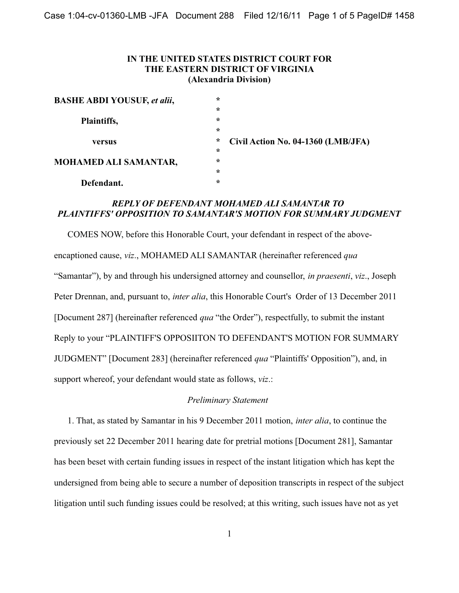## IN THE UNITED STATES DISTRICT COURT FOR THE EASTERN DISTRICT OF VIRGINIA (Alexandria Division)

| <b>BASHE ABDI YOUSUF, et alii,</b> | $\ast$  |                                    |
|------------------------------------|---------|------------------------------------|
|                                    | $\star$ |                                    |
| Plaintiffs,                        | $\star$ |                                    |
|                                    | $\star$ |                                    |
| versus                             | *       | Civil Action No. 04-1360 (LMB/JFA) |
|                                    | $\star$ |                                    |
| <b>MOHAMED ALI SAMANTAR,</b>       | $\star$ |                                    |
|                                    | $\star$ |                                    |
| Defendant.                         | $\star$ |                                    |

### **REPLY OF DEFENDANT MOHAMED ALI SAMANTAR TO** PLAINTIFFS' OPPOSITION TO SAMANTAR'S MOTION FOR SUMMARY JUDGMENT

COMES NOW, before this Honorable Court, your defendant in respect of the aboveencaptioned cause, viz., MOHAMED ALI SAMANTAR (hereinafter referenced qua "Samantar"), by and through his undersigned attorney and counsellor, *in praesenti*, *viz.*, Joseph Peter Drennan, and, pursuant to, *inter alia*, this Honorable Court's Order of 13 December 2011 [Document 287] (hereinafter referenced *qua* "the Order"), respectfully, to submit the instant Reply to your "PLAINTIFF'S OPPOSIITON TO DEFENDANT'S MOTION FOR SUMMARY JUDGMENT" [Document 283] (hereinafter referenced *qua* "Plaintiffs' Opposition"), and, in support whereof, your defendant would state as follows, viz.:

#### **Preliminary Statement**

1. That, as stated by Samantar in his 9 December 2011 motion, *inter alia*, to continue the previously set 22 December 2011 hearing date for pretrial motions [Document 281], Samantar has been beset with certain funding issues in respect of the instant litigation which has kept the undersigned from being able to secure a number of deposition transcripts in respect of the subject litigation until such funding issues could be resolved; at this writing, such issues have not as yet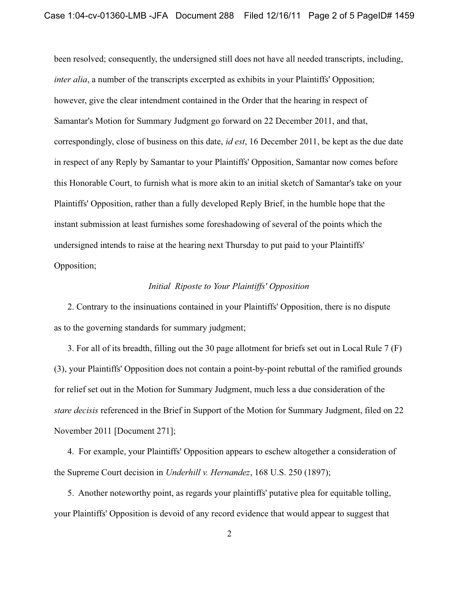been resolved; consequently, the undersigned still does not have all needed transcripts, including, *inter alia*, a number of the transcripts excerpted as exhibits in your Plaintiffs' Opposition; however, give the clear intendment contained in the Order that the hearing in respect of Samantar's Motion for Summary Judgment go forward on 22 December 2011, and that, correspondingly, close of business on this date, *id est*, 16 December 2011, be kept as the due date in respect of any Reply by Samantar to your Plaintiffs' Opposition, Samantar now comes before this Honorable Court, to furnish what is more akin to an initial sketch of Samantar's take on your Plaintiffs' Opposition, rather than a fully developed Reply Brief, in the humble hope that the instant submission at least furnishes some foreshadowing of several of the points which the undersigned intends to raise at the hearing next Thursday to put paid to your Plaintiffs' Opposition;

#### Initial Riposte to Your Plaintiffs' Opposition

2. Contrary to the insinuations contained in your Plaintiffs' Opposition, there is no dispute as to the governing standards for summary judgment;

3. For all of its breadth, filling out the 30 page allotment for briefs set out in Local Rule 7 (F) (3), your Plaintiffs' Opposition does not contain a point-by-point rebuttal of the ramified grounds for relief set out in the Motion for Summary Judgment, much less a due consideration of the *stare decisis* referenced in the Brief in Support of the Motion for Summary Judgment, filed on 22 November 2011 [Document 271];

4. For example, your Plaintiffs' Opposition appears to eschew altogether a consideration of the Supreme Court decision in *Underhill v. Hernandez*, 168 U.S. 250 (1897);

5. Another noteworthy point, as regards your plaintiffs' putative plea for equitable tolling, your Plaintiffs' Opposition is devoid of any record evidence that would appear to suggest that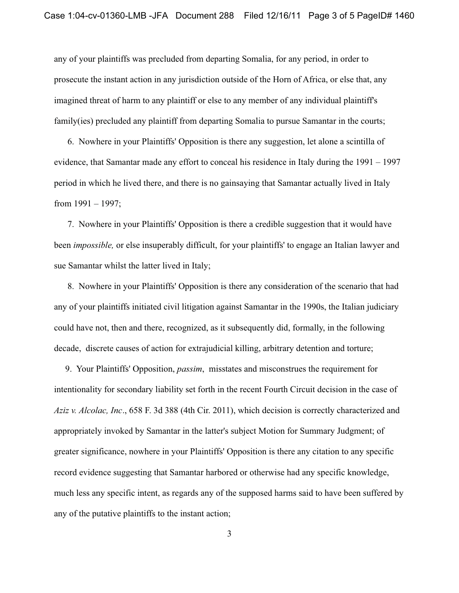any of your plaintiffs was precluded from departing Somalia, for any period, in order to prosecute the instant action in any jurisdiction outside of the Horn of Africa, or else that, any imagined threat of harm to any plaintiff or else to any member of any individual plaintiff's family(ies) precluded any plaintiff from departing Somalia to pursue Samantar in the courts;

6. Nowhere in your Plaintiffs' Opposition is there any suggestion, let alone a scintilla of evidence, that Samantar made any effort to conceal his residence in Italy during the  $1991 - 1997$ period in which he lived there, and there is no gainsaying that Samantar actually lived in Italy from  $1991 - 1997$ :

7. Nowhere in your Plaintiffs' Opposition is there a credible suggestion that it would have been *impossible*, or else insuperably difficult, for your plaintiffs' to engage an Italian lawyer and sue Samantar whilst the latter lived in Italy;

8. Nowhere in your Plaintiffs' Opposition is there any consideration of the scenario that had any of your plaintiffs initiated civil litigation against Samantar in the 1990s, the Italian judiciary could have not, then and there, recognized, as it subsequently did, formally, in the following decade, discrete causes of action for extrajudicial killing, arbitrary detention and torture;

9. Your Plaintiffs' Opposition, *passim*, misstates and misconstrues the requirement for intentionality for secondary liability set forth in the recent Fourth Circuit decision in the case of Aziz v. Alcolac, Inc., 658 F. 3d 388 (4th Cir. 2011), which decision is correctly characterized and appropriately invoked by Samantar in the latter's subject Motion for Summary Judgment; of greater significance, nowhere in your Plaintiffs' Opposition is there any citation to any specific record evidence suggesting that Samantar harbored or otherwise had any specific knowledge, much less any specific intent, as regards any of the supposed harms said to have been suffered by any of the putative plaintiffs to the instant action;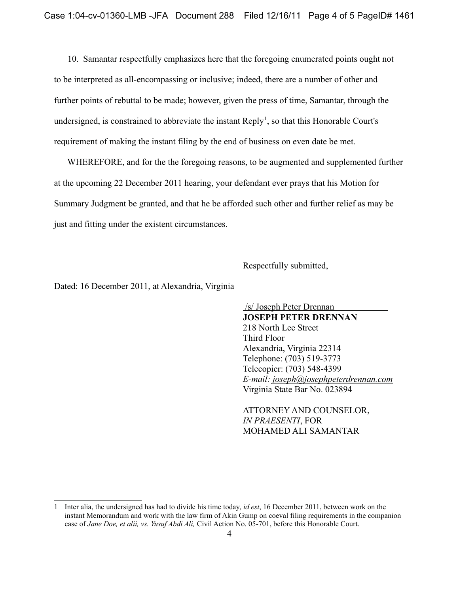10. Samantar respectfully emphasizes here that the foregoing enumerated points ought not to be interpreted as all-encompassing or inclusive; indeed, there are a number of other and further points of rebuttal to be made; however, given the press of time, Samantar, through the undersigned, is constrained to abbreviate the instant  $\text{Reply}^1$ , so that this Honorable Court's requirement of making the instant filing by the end of business on even date be met.

WHEREFORE, and for the the foregoing reasons, to be augmented and supplemented further at the upcoming 22 December 2011 hearing, your defendant ever prays that his Motion for Summary Judgment be granted, and that he be afforded such other and further relief as may be just and fitting under the existent circumstances.

Respectfully submitted,

Dated: 16 December 2011, at Alexandria, Virginia

/s/ Joseph Peter Drennan **JOSEPH PETER DRENNAN** 218 North Lee Street Third Floor Alexandria, Virginia 22314 Telephone: (703) 519-3773 Telecopier: (703) 548-4399 E-mail: joseph@josephpeterdrennan.com Virginia State Bar No. 023894

ATTORNEY AND COUNSELOR, **IN PRAESENTI, FOR** MOHAMED ALI SAMANTAR

<sup>1</sup> Inter alia, the undersigned has had to divide his time today, id est, 16 December 2011, between work on the instant Memorandum and work with the law firm of Akin Gump on coeval filing requirements in the companion case of Jane Doe, et alii, vs. Yusuf Abdi Ali, Civil Action No. 05-701, before this Honorable Court.